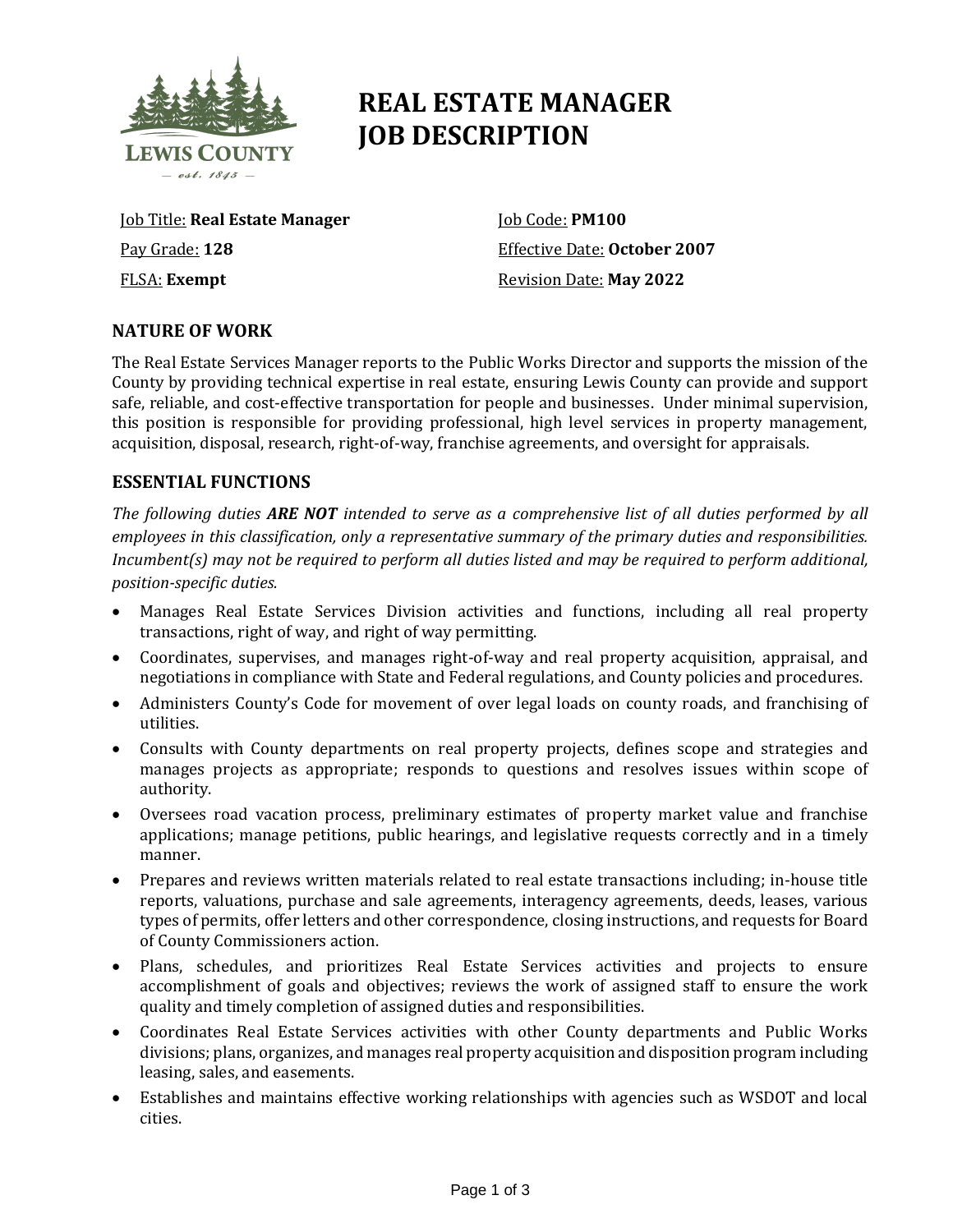

# **REAL ESTATE MANAGER JOB DESCRIPTION**

Job Title: **Real Estate Manager** Pay Grade: **128** FLSA: **Exempt**

Job Code: **PM100** Effective Date: **October 2007** Revision Date: **May 2022**

# **NATURE OF WORK**

The Real Estate Services Manager reports to the Public Works Director and supports the mission of the County by providing technical expertise in real estate, ensuring Lewis County can provide and support safe, reliable, and cost-effective transportation for people and businesses. Under minimal supervision, this position is responsible for providing professional, high level services in property management, acquisition, disposal, research, right-of-way, franchise agreements, and oversight for appraisals.

# **ESSENTIAL FUNCTIONS**

*The following duties ARE NOT intended to serve as a comprehensive list of all duties performed by all employees in this classification, only a representative summary of the primary duties and responsibilities. Incumbent(s) may not be required to perform all duties listed and may be required to perform additional, position-specific duties.*

- Manages Real Estate Services Division activities and functions, including all real property transactions, right of way, and right of way permitting.
- Coordinates, supervises, and manages right-of-way and real property acquisition, appraisal, and negotiations in compliance with State and Federal regulations, and County policies and procedures.
- Administers County's Code for movement of over legal loads on county roads, and franchising of utilities.
- Consults with County departments on real property projects, defines scope and strategies and manages projects as appropriate; responds to questions and resolves issues within scope of authority.
- Oversees road vacation process, preliminary estimates of property market value and franchise applications; manage petitions, public hearings, and legislative requests correctly and in a timely manner.
- Prepares and reviews written materials related to real estate transactions including; in-house title reports, valuations, purchase and sale agreements, interagency agreements, deeds, leases, various types of permits, offer letters and other correspondence, closing instructions, and requests for Board of County Commissioners action.
- Plans, schedules, and prioritizes Real Estate Services activities and projects to ensure accomplishment of goals and objectives; reviews the work of assigned staff to ensure the work quality and timely completion of assigned duties and responsibilities.
- Coordinates Real Estate Services activities with other County departments and Public Works divisions; plans, organizes, and manages real property acquisition and disposition program including leasing, sales, and easements.
- Establishes and maintains effective working relationships with agencies such as WSDOT and local cities.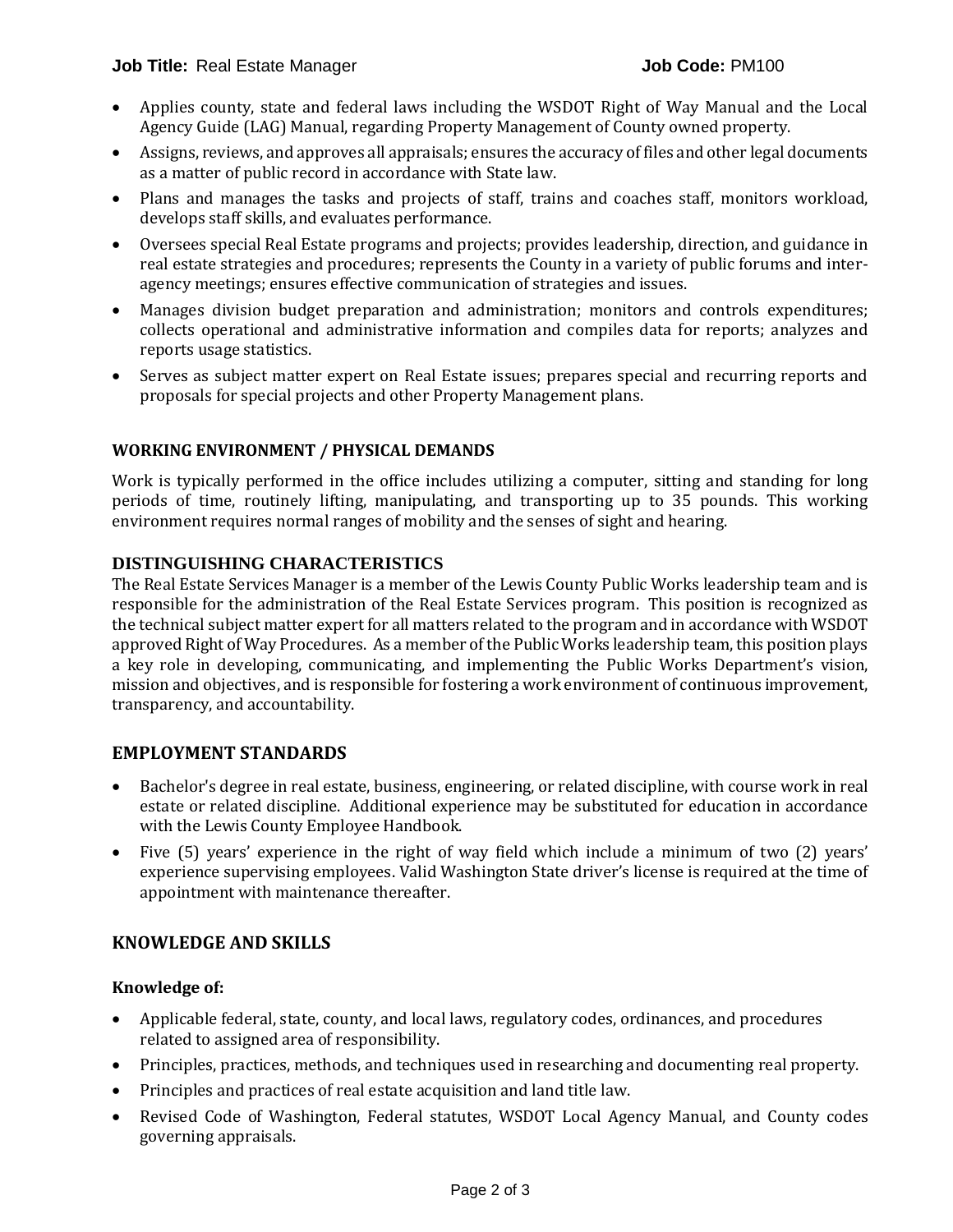- Applies county, state and federal laws including the WSDOT Right of Way Manual and the Local Agency Guide (LAG) Manual, regarding Property Management of County owned property.
- Assigns, reviews, and approves all appraisals; ensures the accuracy of files and other legal documents as a matter of public record in accordance with State law.
- Plans and manages the tasks and projects of staff, trains and coaches staff, monitors workload, develops staff skills, and evaluates performance.
- Oversees special Real Estate programs and projects; provides leadership, direction, and guidance in real estate strategies and procedures; represents the County in a variety of public forums and interagency meetings; ensures effective communication of strategies and issues.
- Manages division budget preparation and administration; monitors and controls expenditures; collects operational and administrative information and compiles data for reports; analyzes and reports usage statistics.
- Serves as subject matter expert on Real Estate issues; prepares special and recurring reports and proposals for special projects and other Property Management plans.

## **WORKING ENVIRONMENT / PHYSICAL DEMANDS**

Work is typically performed in the office includes utilizing a computer, sitting and standing for long periods of time, routinely lifting, manipulating, and transporting up to 35 pounds. This working environment requires normal ranges of mobility and the senses of sight and hearing.

## **DISTINGUISHING CHARACTERISTICS**

The Real Estate Services Manager is a member of the Lewis County Public Works leadership team and is responsible for the administration of the Real Estate Services program. This position is recognized as the technical subject matter expert for all matters related to the program and in accordance with WSDOT approved Right of Way Procedures. As a member of the Public Works leadership team, this position plays a key role in developing, communicating, and implementing the Public Works Department's vision, mission and objectives, and is responsible for fostering a work environment of continuous improvement, transparency, and accountability.

## **EMPLOYMENT STANDARDS**

- Bachelor's degree in real estate, business, engineering, or related discipline, with course work in real estate or related discipline. Additional experience may be substituted for education in accordance with the Lewis County Employee Handbook.
- Five (5) years' experience in the right of way field which include a minimum of two (2) years' experience supervising employees. Valid Washington State driver's license is required at the time of appointment with maintenance thereafter.

## **KNOWLEDGE AND SKILLS**

## **Knowledge of:**

- Applicable federal, state, county, and local laws, regulatory codes, ordinances, and procedures related to assigned area of responsibility.
- Principles, practices, methods, and techniques used in researching and documenting real property.
- Principles and practices of real estate acquisition and land title law.
- Revised Code of Washington, Federal statutes, WSDOT Local Agency Manual, and County codes governing appraisals.